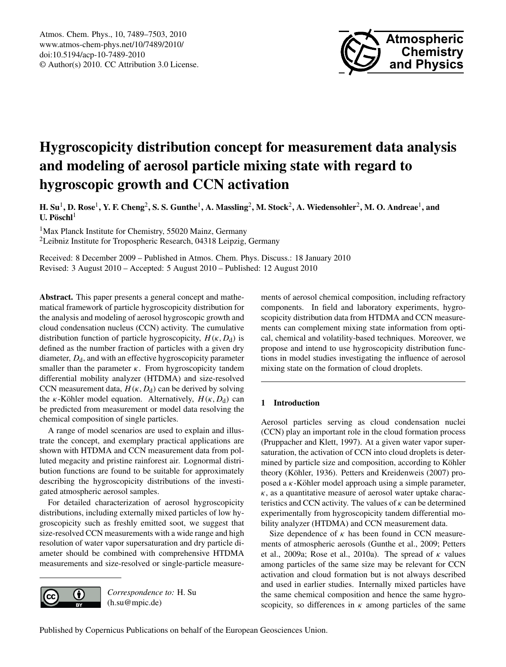

# **Hygroscopicity distribution concept for measurement data analysis and modeling of aerosol particle mixing state with regard to hygroscopic growth and CCN activation**

 $H. S$ u<sup>1</sup>, D. Rose<sup>1</sup>, Y. F. Cheng<sup>2</sup>, S. S. Gunthe<sup>1</sup>, A. Massling<sup>2</sup>, M. Stock<sup>2</sup>, A. Wiedensohler<sup>2</sup>, M. O. Andreae<sup>1</sup>, and **U.** Pöschl<sup>1</sup>

<sup>1</sup>Max Planck Institute for Chemistry, 55020 Mainz, Germany <sup>2</sup>Leibniz Institute for Tropospheric Research, 04318 Leipzig, Germany

Received: 8 December 2009 – Published in Atmos. Chem. Phys. Discuss.: 18 January 2010 Revised: 3 August 2010 – Accepted: 5 August 2010 – Published: 12 August 2010

**Abstract.** This paper presents a general concept and mathematical framework of particle hygroscopicity distribution for the analysis and modeling of aerosol hygroscopic growth and cloud condensation nucleus (CCN) activity. The cumulative distribution function of particle hygroscopicity,  $H(\kappa, D_d)$  is defined as the number fraction of particles with a given dry diameter,  $D_d$ , and with an effective hygroscopicity parameter smaller than the parameter  $\kappa$ . From hygroscopicity tandem differential mobility analyzer (HTDMA) and size-resolved CCN measurement data,  $H(\kappa, D_d)$  can be derived by solving the  $\kappa$ -Köhler model equation. Alternatively,  $H(\kappa, D_d)$  can be predicted from measurement or model data resolving the chemical composition of single particles.

A range of model scenarios are used to explain and illustrate the concept, and exemplary practical applications are shown with HTDMA and CCN measurement data from polluted megacity and pristine rainforest air. Lognormal distribution functions are found to be suitable for approximately describing the hygroscopicity distributions of the investigated atmospheric aerosol samples.

For detailed characterization of aerosol hygroscopicity distributions, including externally mixed particles of low hygroscopicity such as freshly emitted soot, we suggest that size-resolved CCN measurements with a wide range and high resolution of water vapor supersaturation and dry particle diameter should be combined with comprehensive HTDMA measurements and size-resolved or single-particle measure-



*Correspondence to:* H. Su (h.su@mpic.de)

ments of aerosol chemical composition, including refractory components. In field and laboratory experiments, hygroscopicity distribution data from HTDMA and CCN measurements can complement mixing state information from optical, chemical and volatility-based techniques. Moreover, we propose and intend to use hygroscopicity distribution functions in model studies investigating the influence of aerosol mixing state on the formation of cloud droplets.

# **1 Introduction**

Aerosol particles serving as cloud condensation nuclei (CCN) play an important role in the cloud formation process (Pruppacher and Klett, 1997). At a given water vapor supersaturation, the activation of CCN into cloud droplets is determined by particle size and composition, according to Köhler theory (Köhler, 1936). Petters and Kreidenweis (2007) proposed a  $\kappa$ -Köhler model approach using a simple parameter,  $\kappa$ , as a quantitative measure of aerosol water uptake characteristics and CCN activity. The values of  $\kappa$  can be determined experimentally from hygroscopicity tandem differential mobility analyzer (HTDMA) and CCN measurement data.

Size dependence of  $\kappa$  has been found in CCN measurements of atmospheric aerosols (Gunthe et al., 2009; Petters et al., 2009a; Rose et al., 2010a). The spread of  $\kappa$  values among particles of the same size may be relevant for CCN activation and cloud formation but is not always described and used in earlier studies. Internally mixed particles have the same chemical composition and hence the same hygroscopicity, so differences in  $\kappa$  among particles of the same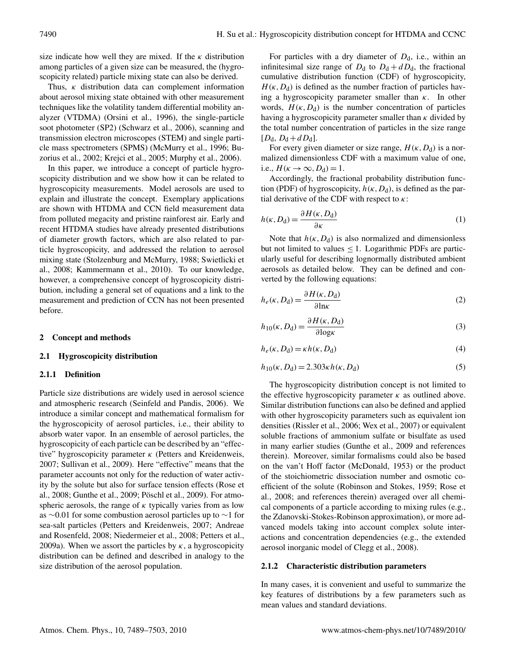size indicate how well they are mixed. If the  $\kappa$  distribution among particles of a given size can be measured, the (hygroscopicity related) particle mixing state can also be derived.

Thus,  $\kappa$  distribution data can complement information about aerosol mixing state obtained with other measurement techniques like the volatility tandem differential mobility analyzer (VTDMA) (Orsini et al., 1996), the single-particle soot photometer (SP2) (Schwarz et al., 2006), scanning and transmission electron microscopes (STEM) and single particle mass spectrometers (SPMS) (McMurry et al., 1996; Buzorius et al., 2002; Krejci et al., 2005; Murphy et al., 2006).

In this paper, we introduce a concept of particle hygroscopicity distribution and we show how it can be related to hygroscopicity measurements. Model aerosols are used to explain and illustrate the concept. Exemplary applications are shown with HTDMA and CCN field measurement data from polluted megacity and pristine rainforest air. Early and recent HTDMA studies have already presented distributions of diameter growth factors, which are also related to particle hygroscopicity, and addressed the relation to aerosol mixing state (Stolzenburg and McMurry, 1988; Swietlicki et al., 2008; Kammermann et al., 2010). To our knowledge, however, a comprehensive concept of hygroscopicity distribution, including a general set of equations and a link to the measurement and prediction of CCN has not been presented before.

#### **2 Concept and methods**

#### **2.1 Hygroscopicity distribution**

#### **2.1.1 Definition**

Particle size distributions are widely used in aerosol science and atmospheric research (Seinfeld and Pandis, 2006). We introduce a similar concept and mathematical formalism for the hygroscopicity of aerosol particles, i.e., their ability to absorb water vapor. In an ensemble of aerosol particles, the hygroscopicity of each particle can be described by an "effective" hygroscopicity parameter  $\kappa$  (Petters and Kreidenweis, 2007; Sullivan et al., 2009). Here "effective" means that the parameter accounts not only for the reduction of water activity by the solute but also for surface tension effects (Rose et al., 2008; Gunthe et al., 2009; Pöschl et al., 2009). For atmospheric aerosols, the range of  $\kappa$  typically varies from as low as ∼0.01 for some combustion aerosol particles up to ∼1 for sea-salt particles (Petters and Kreidenweis, 2007; Andreae and Rosenfeld, 2008; Niedermeier et al., 2008; Petters et al., 2009a). When we assort the particles by  $\kappa$ , a hygroscopicity distribution can be defined and described in analogy to the size distribution of the aerosol population.

For particles with a dry diameter of  $D_d$ , i.e., within an infinitesimal size range of  $D_d$  to  $D_d + dD_d$ , the fractional cumulative distribution function (CDF) of hygroscopicity,  $H(\kappa, D_d)$  is defined as the number fraction of particles having a hygroscopicity parameter smaller than  $\kappa$ . In other words,  $H(\kappa, D_d)$  is the number concentration of particles having a hygroscopicity parameter smaller than  $\kappa$  divided by the total number concentration of particles in the size range  $[D_d, D_d + dD_d].$ 

For every given diameter or size range,  $H(\kappa, D_d)$  is a normalized dimensionless CDF with a maximum value of one, i.e.,  $H(\kappa \to \infty, D_d) = 1$ .

Accordingly, the fractional probability distribution function (PDF) of hygroscopicity,  $h(\kappa, D_d)$ , is defined as the partial derivative of the CDF with respect to  $\kappa$ :

$$
h(\kappa, D_{\rm d}) = \frac{\partial H(\kappa, D_{\rm d})}{\partial \kappa} \tag{1}
$$

Note that  $h(\kappa, D_d)$  is also normalized and dimensionless but not limited to values  $\leq 1$ . Logarithmic PDFs are particularly useful for describing lognormally distributed ambient aerosols as detailed below. They can be defined and converted by the following equations:

$$
h_e(\kappa, D_d) = \frac{\partial H(\kappa, D_d)}{\partial \ln \kappa} \tag{2}
$$

$$
h_{10}(\kappa, D_{\rm d}) = \frac{\partial H(\kappa, D_{\rm d})}{\partial \log \kappa} \tag{3}
$$

$$
h_e(\kappa, D_d) = \kappa h(\kappa, D_d) \tag{4}
$$

$$
h_{10}(\kappa, D_d) = 2.303 \kappa h(\kappa, D_d)
$$
 (5)

The hygroscopicity distribution concept is not limited to the effective hygroscopicity parameter  $\kappa$  as outlined above. Similar distribution functions can also be defined and applied with other hygroscopicity parameters such as equivalent ion densities (Rissler et al., 2006; Wex et al., 2007) or equivalent soluble fractions of ammonium sulfate or bisulfate as used in many earlier studies (Gunthe et al., 2009 and references therein). Moreover, similar formalisms could also be based on the van't Hoff factor (McDonald, 1953) or the product of the stoichiometric dissociation number and osmotic coefficient of the solute (Robinson and Stokes, 1959; Rose et al., 2008; and references therein) averaged over all chemical components of a particle according to mixing rules (e.g., the Zdanovski-Stokes-Robinson approximation), or more advanced models taking into account complex solute interactions and concentration dependencies (e.g., the extended aerosol inorganic model of Clegg et al., 2008).

## **2.1.2 Characteristic distribution parameters**

In many cases, it is convenient and useful to summarize the key features of distributions by a few parameters such as mean values and standard deviations.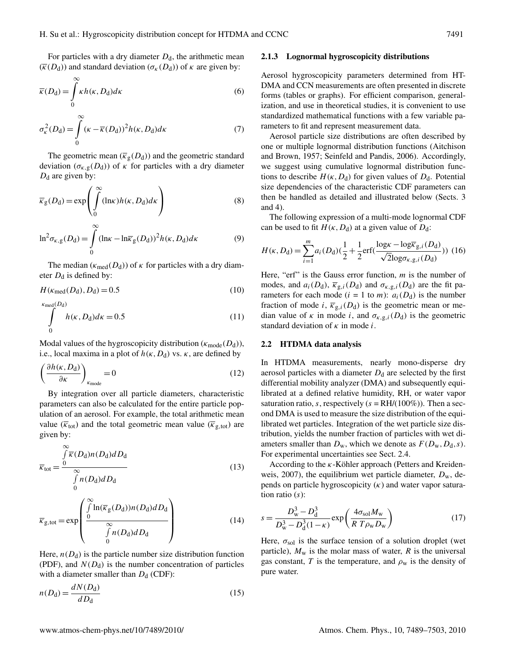For particles with a dry diameter  $D_d$ , the arithmetic mean  $(\overline{\kappa}(D_d))$  and standard deviation  $(\sigma_{\kappa}(D_d))$  of  $\kappa$  are given by:

$$
\overline{\kappa}(D_{\rm d}) = \int_{0}^{\infty} \kappa h(\kappa, D_{\rm d}) d\kappa \tag{6}
$$

$$
\sigma_{\kappa}^{2}(D_{\mathrm{d}}) = \int_{0}^{\infty} (\kappa - \overline{\kappa}(D_{\mathrm{d}}))^{2} h(\kappa, D_{\mathrm{d}}) d\kappa \tag{7}
$$

The geometric mean  $(\overline{\kappa}_g(D_d))$  and the geometric standard deviation ( $\sigma_{\kappa,g}(D_d)$ ) of  $\kappa$  for particles with a dry diameter  $D_d$  are given by:

$$
\overline{\kappa}_{g}(D_{d}) = \exp\left(\int_{0}^{\infty} (\ln \kappa) h(\kappa, D_{d}) d\kappa\right)
$$
\n(8)

$$
\ln^2 \sigma_{\kappa, g}(D_d) = \int_0^\infty (\ln \kappa - \ln \overline{\kappa}_g(D_d))^2 h(\kappa, D_d) d\kappa \tag{9}
$$

The median ( $\kappa_{\text{med}}(D_d)$ ) of  $\kappa$  for particles with a dry diameter  $D_d$  is defined by:

$$
H(\kappa_{\text{med}}(D_{\text{d}}), D_{\text{d}}) = 0.5\tag{10}
$$

$$
\int_{0}^{\kappa_{\text{med}}(D_{\text{d}})} h(\kappa, D_{\text{d}}) d\kappa = 0.5
$$
\n(11)

Modal values of the hygroscopicity distribution ( $\kappa_{\text{mode}}(D_{d})$ ), i.e., local maxima in a plot of  $h(\kappa, D_d)$  vs.  $\kappa$ , are defined by

$$
\left(\frac{\partial h(\kappa, D_{\rm d})}{\partial \kappa}\right)_{\kappa_{\rm mode}} = 0\tag{12}
$$

By integration over all particle diameters, characteristic parameters can also be calculated for the entire particle population of an aerosol. For example, the total arithmetic mean value ( $\overline{\kappa}_{\text{tot}}$ ) and the total geometric mean value ( $\overline{\kappa}_{\text{g,tot}}$ ) are given by:

$$
\overline{\kappa}_{\text{tot}} = \frac{\int_{0}^{\infty} \overline{\kappa}(D_{\text{d}}) n(D_{\text{d}}) d D_{\text{d}}}{\int_{0}^{\infty} n(D_{\text{d}}) d D_{\text{d}}}
$$
(13)

$$
\overline{\kappa}_{g, tot} = \exp\left(\frac{\int_{0}^{\infty} \ln(\overline{\kappa}_{g}(D_{d})) n(D_{d}) dD_{d}}{\int_{0}^{\infty} n(D_{d}) dD_{d}}\right)
$$
(14)

Here,  $n(D_d)$  is the particle number size distribution function (PDF), and  $N(D_d)$  is the number concentration of particles with a diameter smaller than  $D_d$  (CDF):

$$
n(D_{\rm d}) = \frac{dN(D_{\rm d})}{dD_{\rm d}}\tag{15}
$$

#### **2.1.3 Lognormal hygroscopicity distributions**

Aerosol hygroscopicity parameters determined from HT-DMA and CCN measurements are often presented in discrete forms (tables or graphs). For efficient comparison, generalization, and use in theoretical studies, it is convenient to use standardized mathematical functions with a few variable parameters to fit and represent measurement data.

Aerosol particle size distributions are often described by one or multiple lognormal distribution functions (Aitchison and Brown, 1957; Seinfeld and Pandis, 2006). Accordingly, we suggest using cumulative lognormal distribution functions to describe  $H(\kappa, D_d)$  for given values of  $D_d$ . Potential size dependencies of the characteristic CDF parameters can then be handled as detailed and illustrated below (Sects. 3 and 4).

The following expression of a multi-mode lognormal CDF can be used to fit  $H(\kappa, D_d)$  at a given value of  $D_d$ :

$$
H(\kappa, D_{\rm d}) = \sum_{i=1}^{m} a_i (D_{\rm d}) (\frac{1}{2} + \frac{1}{2} \text{erf}(\frac{\log \kappa - \log \overline{\kappa}_{\rm g,i}(D_{\rm d})}{\sqrt{2} \log \sigma_{\kappa, \rm g,i}(D_{\rm d})})) (16)
$$

Here, "erf" is the Gauss error function,  $m$  is the number of modes, and  $a_i(D_d)$ ,  $\overline{\kappa}_{g,i}(D_d)$  and  $\sigma_{\kappa,g,i}(D_d)$  are the fit parameters for each mode ( $i = 1$  to *m*):  $a_i(D_d)$  is the number fraction of mode i,  $\overline{\kappa}_{g,i}(D_d)$  is the geometric mean or median value of  $\kappa$  in mode i, and  $\sigma_{\kappa, g,i}(D_d)$  is the geometric standard deviation of  $\kappa$  in mode *i*.

#### **2.2 HTDMA data analysis**

In HTDMA measurements, nearly mono-disperse dry aerosol particles with a diameter  $D_d$  are selected by the first differential mobility analyzer (DMA) and subsequently equilibrated at a defined relative humidity, RH, or water vapor saturation ratio, s, respectively  $(s = RH/(100\%)$ . Then a second DMA is used to measure the size distribution of the equilibrated wet particles. Integration of the wet particle size distribution, yields the number fraction of particles with wet diameters smaller than  $D_w$ , which we denote as  $F(D_w, D_d, s)$ . For experimental uncertainties see Sect. 2.4.

According to the  $\kappa$ -Köhler approach (Petters and Kreidenweis, 2007), the equilibrium wet particle diameter,  $D_w$ , depends on particle hygroscopicity  $(\kappa)$  and water vapor saturation ratio  $(s)$ :

$$
s = \frac{D_{\rm w}^3 - D_{\rm d}^3}{D_{\rm w}^3 - D_{\rm d}^3 (1 - \kappa)} \exp\left(\frac{4\sigma_{\rm sol}M_{\rm w}}{R \ T \rho_{\rm w}D_{\rm w}}\right) \tag{17}
$$

Here,  $\sigma_{sol}$  is the surface tension of a solution droplet (wet particle),  $M_w$  is the molar mass of water, R is the universal gas constant, T is the temperature, and  $\rho_w$  is the density of pure water.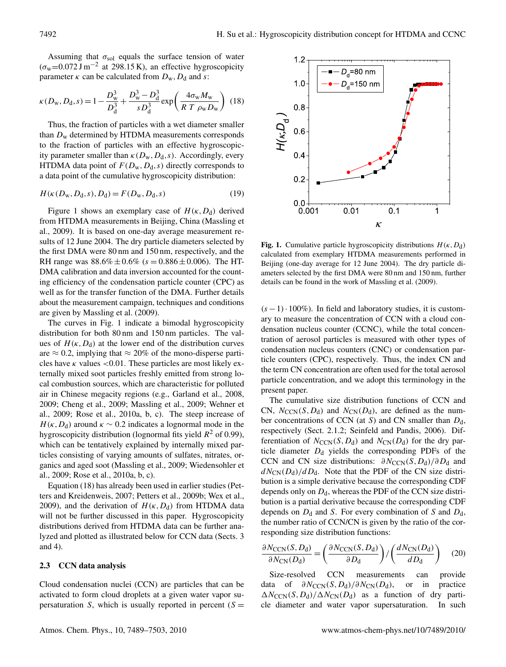Assuming that  $\sigma_{sol}$  equals the surface tension of water  $(\sigma_w=0.072 \text{ J m}^{-2}$  at 298.15 K), an effective hygroscopicity parameter  $\kappa$  can be calculated from  $D_w$ ,  $D_d$  and s:

$$
\kappa(D_{\rm w}, D_{\rm d}, s) = 1 - \frac{D_{\rm w}^3}{D_{\rm d}^3} + \frac{D_{\rm w}^3 - D_{\rm d}^3}{s D_{\rm d}^3} \exp\left(\frac{4\sigma_{\rm w} M_{\rm w}}{R \ T \ \rho_{\rm w} D_{\rm w}}\right) \tag{18}
$$

Thus, the fraction of particles with a wet diameter smaller than  $D_w$  determined by HTDMA measurements corresponds to the fraction of particles with an effective hygroscopicity parameter smaller than  $\kappa(D_w, D_d, s)$ . Accordingly, every HTDMA data point of  $F(D_w, D_d, s)$  directly corresponds to a data point of the cumulative hygroscopicity distribution:

$$
H(\kappa(D_{\mathbf{w}}, D_{\mathbf{d}}, s), D_{\mathbf{d}}) = F(D_{\mathbf{w}}, D_{\mathbf{d}}, s)
$$
\n(19)

Figure 1 shows an exemplary case of  $H(\kappa, D_d)$  derived from HTDMA measurements in Beijing, China (Massling et al., 2009). It is based on one-day average measurement results of 12 June 2004. The dry particle diameters selected by the first DMA were 80 nm and 150 nm, respectively, and the RH range was  $88.6\% \pm 0.6\%$  (s = 0.886  $\pm$  0.006). The HT-DMA calibration and data inversion accounted for the counting efficiency of the condensation particle counter (CPC) as well as for the transfer function of the DMA. Further details about the measurement campaign, techniques and conditions are given by Massling et al. (2009).

The curves in Fig. 1 indicate a bimodal hygroscopicity distribution for both 80 nm and 150 nm particles. The values of  $H(\kappa, D_d)$  at the lower end of the distribution curves are  $\approx 0.2$ , implying that  $\approx 20\%$  of the mono-disperse particles have  $\kappa$  values <0.01. These particles are most likely externally mixed soot particles freshly emitted from strong local combustion sources, which are characteristic for polluted air in Chinese megacity regions (e.g., Garland et al., 2008, 2009; Cheng et al., 2009; Massling et al., 2009; Wehner et al., 2009; Rose et al., 2010a, b, c). The steep increase of  $H(\kappa, D_d)$  around  $\kappa \sim 0.2$  indicates a lognormal mode in the hygroscopicity distribution (lognormal fits yield  $R^2$  of 0.99), which can be tentatively explained by internally mixed particles consisting of varying amounts of sulfates, nitrates, organics and aged soot (Massling et al., 2009; Wiedensohler et al., 2009; Rose et al., 2010a, b, c).

Equation (18) has already been used in earlier studies (Petters and Kreidenweis, 2007; Petters et al., 2009b; Wex et al., 2009), and the derivation of  $H(\kappa, D_d)$  from HTDMA data will not be further discussed in this paper. Hygroscopicity distributions derived from HTDMA data can be further analyzed and plotted as illustrated below for CCN data (Sects. 3 and 4).

## **2.3 CCN data analysis**

Cloud condensation nuclei (CCN) are particles that can be activated to form cloud droplets at a given water vapor supersaturation S, which is usually reported in percent  $(S =$ 



**Fig. 1.** Cumulative particle hygroscopicity distributions  $H(\kappa, D_d)$ calculated from exemplary HTDMA measurements performed in Beijing (one-day average for 12 June 2004). The dry particle diameters selected by the first DMA were 80 nm and 150 nm, further details can be found in the work of Massling et al. (2009).

 $(s - 1) \cdot 100\%$ ). In field and laboratory studies, it is customary to measure the concentration of CCN with a cloud condensation nucleus counter (CCNC), while the total concentration of aerosol particles is measured with other types of condensation nucleus counters (CNC) or condensation particle counters (CPC), respectively. Thus, the index CN and the term CN concentration are often used for the total aerosol particle concentration, and we adopt this terminology in the present paper.

The cumulative size distribution functions of CCN and CN,  $N_{\text{CCN}}(S, D_d)$  and  $N_{\text{CN}}(D_d)$ , are defined as the number concentrations of CCN (at S) and CN smaller than  $D_d$ , respectively (Sect. 2.1.2; Seinfeld and Pandis, 2006). Differentiation of  $N_{\text{CCN}}(S, D_d)$  and  $N_{\text{CN}}(D_d)$  for the dry particle diameter  $D_d$  yields the corresponding PDFs of the CCN and CN size distributions:  $\partial N_{\text{CCN}}(S, D_{d})/\partial D_{d}$  and  $dN_{\rm CN}(D_{\rm d})/dD_{\rm d}$ . Note that the PDF of the CN size distribution is a simple derivative because the corresponding CDF depends only on  $D_d$ , whereas the PDF of the CCN size distribution is a partial derivative because the corresponding CDF depends on  $D_d$  and S. For every combination of S and  $D_d$ , the number ratio of CCN/CN is given by the ratio of the corresponding size distribution functions:

$$
\frac{\partial N_{\text{CCN}}(S, D_{\text{d}})}{\partial N_{\text{CN}}(D_{\text{d}})} = \left(\frac{\partial N_{\text{CCN}}(S, D_{\text{d}})}{\partial D_{\text{d}}}\right) / \left(\frac{dN_{\text{CN}}(D_{\text{d}})}{dD_{\text{d}}}\right) \tag{20}
$$

Size-resolved CCN measurements can provide data of  $\partial N_{\text{CCN}}(S, D_{d})/\partial N_{\text{CN}}(D_{d}),$  or in practice  $\Delta N_{\rm CCN}(S, D_{d})/\Delta N_{\rm CN}(D_{d})$  as a function of dry particle diameter and water vapor supersaturation. In such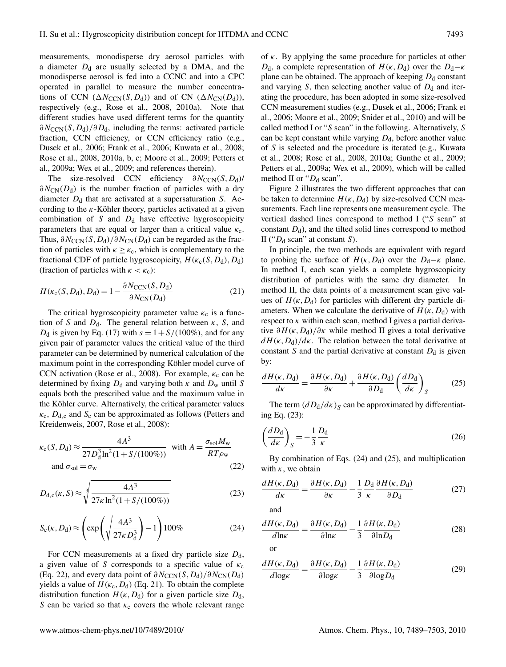measurements, monodisperse dry aerosol particles with a diameter  $D_d$  are usually selected by a DMA, and the monodisperse aerosol is fed into a CCNC and into a CPC operated in parallel to measure the number concentrations of CCN  $(\Delta N_{\text{CCN}}(S, D_d))$  and of CN  $(\Delta N_{\text{CN}}(D_d))$ , respectively (e.g., Rose et al., 2008, 2010a). Note that different studies have used different terms for the quantity  $\partial N_{\rm CCN}(S, D_{\rm d})/\partial D_{\rm d}$ , including the terms: activated particle fraction, CCN efficiency, or CCN efficiency ratio (e.g., Dusek et al., 2006; Frank et al., 2006; Kuwata et al., 2008; Rose et al., 2008, 2010a, b, c; Moore et al., 2009; Petters et al., 2009a; Wex et al., 2009; and references therein).

The size-resolved CCN efficiency  $\partial N_{\text{CCN}}(S, D_d)$ /  $\partial N_{\rm CN}(D_{\rm d})$  is the number fraction of particles with a dry diameter  $D_d$  that are activated at a supersaturation S. According to the  $\kappa$ -Köhler theory, particles activated at a given combination of S and  $D_d$  have effective hygroscopicity parameters that are equal or larger than a critical value  $\kappa_c$ . Thus,  $\partial N_{\text{CCN}}(S, D_{d})/\partial N_{\text{CN}}(D_{d})$  can be regarded as the fraction of particles with  $\kappa \geq \kappa_c$ , which is complementary to the fractional CDF of particle hygroscopicity,  $H(\kappa_c(S, D_d), D_d)$ (fraction of particles with  $\kappa < \kappa_c$ ):

$$
H(\kappa_c(S, D_d), D_d) = 1 - \frac{\partial N_{\text{CCN}}(S, D_d)}{\partial N_{\text{CN}}(D_d)}
$$
(21)

The critical hygroscopicity parameter value  $\kappa_c$  is a function of S and  $D_d$ . The general relation between  $\kappa$ , S, and  $D_d$  is given by Eq. (17) with  $s = 1 + S/(100\%)$ , and for any given pair of parameter values the critical value of the third parameter can be determined by numerical calculation of the maximum point in the corresponding Köhler model curve of CCN activation (Rose et al., 2008). For example,  $\kappa_c$  can be determined by fixing  $D_d$  and varying both  $\kappa$  and  $D_w$  until S equals both the prescribed value and the maximum value in the Köhler curve. Alternatively, the critical parameter values  $\kappa_c$ ,  $D_{d,c}$  and  $S_c$  can be approximated as follows (Petters and Kreidenweis, 2007, Rose et al., 2008):

$$
\kappa_{\rm c}(S, D_{\rm d}) \approx \frac{4A^3}{27D_{\rm d}^3 \ln^2(1 + S/(100\%))} \text{ with } A = \frac{\sigma_{\rm sol} M_{\rm w}}{RT\rho_{\rm w}}
$$
  
and  $\sigma_{\rm sol} = \sigma_{\rm w}$  (22)

$$
D_{d,c}(\kappa, S) \approx \sqrt[3]{\frac{4A^3}{27\kappa \ln^2(1 + S/(100\%))}}\tag{23}
$$

$$
S_{\rm c}(\kappa, D_{\rm d}) \approx \left(\exp\left(\sqrt{\frac{4A^3}{27\kappa D_{\rm d}^3}}\right) - 1\right)100\% \tag{24}
$$

For CCN measurements at a fixed dry particle size  $D_d$ , a given value of S corresponds to a specific value of  $\kappa_c$ (Eq. 22), and every data point of  $\partial N_{\text{CCN}}(S, D_d)/\partial N_{\text{CN}}(D_d)$ yields a value of  $H(\kappa_c, D_d)$  (Eq. 21). To obtain the complete distribution function  $H(\kappa, D_d)$  for a given particle size  $D_d$ , S can be varied so that  $\kappa_c$  covers the whole relevant range

of  $\kappa$ . By applying the same procedure for particles at other  $D_d$ , a complete representation of  $H(\kappa, D_d)$  over the  $D_d-\kappa$ plane can be obtained. The approach of keeping  $D_d$  constant and varying S, then selecting another value of  $D_d$  and iterating the procedure, has been adopted in some size-resolved CCN measurement studies (e.g., Dusek et al., 2006; Frank et al., 2006; Moore et al., 2009; Snider et al., 2010) and will be called method I or "S scan" in the following. Alternatively, S can be kept constant while varying  $D_d$ , before another value of S is selected and the procedure is iterated (e.g., Kuwata et al., 2008; Rose et al., 2008, 2010a; Gunthe et al., 2009; Petters et al., 2009a; Wex et al., 2009), which will be called method II or " $D_d$  scan".

Figure 2 illustrates the two different approaches that can be taken to determine  $H(\kappa, D_d)$  by size-resolved CCN measurements. Each line represents one measurement cycle. The vertical dashed lines correspond to method I ("S scan" at constant  $D_d$ ), and the tilted solid lines correspond to method II (" $D_d$  scan" at constant S).

In principle, the two methods are equivalent with regard to probing the surface of  $H(\kappa, D_d)$  over the  $D_d-\kappa$  plane. In method I, each scan yields a complete hygroscopicity distribution of particles with the same dry diameter. In method II, the data points of a measurement scan give values of  $H(\kappa, D_d)$  for particles with different dry particle diameters. When we calculate the derivative of  $H(\kappa, D_d)$  with respect to  $\kappa$  within each scan, method I gives a partial derivative  $\partial H(\kappa, D_d)/\partial \kappa$  while method II gives a total derivative  $dH(\kappa, D_d)/d\kappa$ . The relation between the total derivative at constant S and the partial derivative at constant  $D_d$  is given by:

$$
\frac{dH(\kappa, D_{\rm d})}{d\kappa} = \frac{\partial H(\kappa, D_{\rm d})}{\partial \kappa} + \frac{\partial H(\kappa, D_{\rm d})}{\partial D_{\rm d}} \left(\frac{dD_{\rm d}}{d\kappa}\right)_{S} \tag{25}
$$

The term  $(dD_d/d\kappa)_S$  can be approximated by differentiating Eq. (23):

$$
\left(\frac{dD_{\rm d}}{d\kappa}\right)_{S} = -\frac{1}{3} \frac{D_{\rm d}}{\kappa} \tag{26}
$$

By combination of Eqs. (24) and (25), and multiplication with  $\kappa$ , we obtain

$$
\frac{dH(\kappa, D_{\rm d})}{d\kappa} = \frac{\partial H(\kappa, D_{\rm d})}{\partial \kappa} - \frac{1}{3} \frac{D_{\rm d}}{\kappa} \frac{\partial H(\kappa, D_{\rm d})}{\partial D_{\rm d}}\tag{27}
$$

and

$$
\frac{dH(\kappa, D_{\rm d})}{d\ln \kappa} = \frac{\partial H(\kappa, D_{\rm d})}{\partial \ln \kappa} - \frac{1}{3} \frac{\partial H(\kappa, D_{\rm d})}{\partial \ln D_{\rm d}}\tag{28}
$$

$$
\overline{a}
$$

$$
\frac{dH(\kappa, D_{\rm d})}{d\log\kappa} = \frac{\partial H(\kappa, D_{\rm d})}{\partial \log\kappa} - \frac{1}{3} \frac{\partial H(\kappa, D_{\rm d})}{\partial \log D_{\rm d}}\tag{29}
$$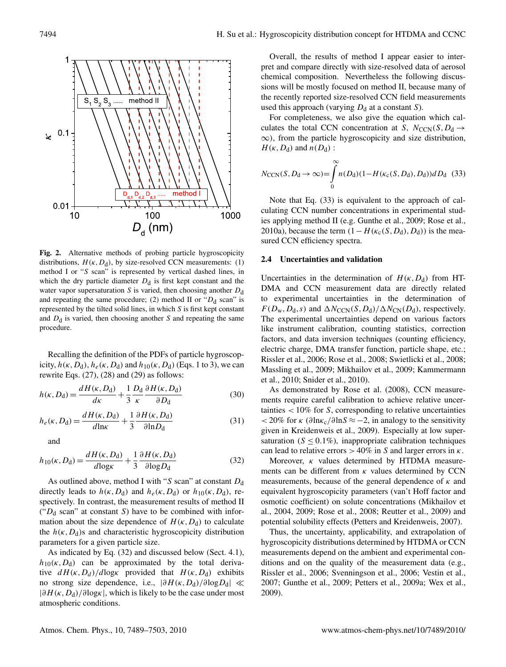

**Fig. 2.** Alternative methods of probing particle hygroscopicity distributions,  $H(\kappa, D_d)$ , by size-resolved CCN measurements: (1) method I or "S scan" is represented by vertical dashed lines, in which the dry particle diameter  $D_d$  is first kept constant and the water vapor supersaturation  $S$  is varied, then choosing another  $D_d$ and repeating the same procedure; (2) method II or " $D_d$  scan" is represented by the tilted solid lines, in which S is first kept constant and  $D_d$  is varied, then choosing another S and repeating the same procedure.

Recalling the definition of the PDFs of particle hygroscopicity,  $h(\kappa, D_d)$ ,  $h_e(\kappa, D_d)$  and  $h_{10}(\kappa, D_d)$  (Eqs. 1 to 3), we can rewrite Eqs.  $(27)$ ,  $(28)$  and  $(29)$  as follows:

$$
h(\kappa, D_{\rm d}) = \frac{dH(\kappa, D_{\rm d})}{d\kappa} + \frac{1}{3} \frac{D_{\rm d}}{\kappa} \frac{\partial H(\kappa, D_{\rm d})}{\partial D_{\rm d}} \tag{30}
$$

$$
h_e(\kappa, D_d) = \frac{dH(\kappa, D_d)}{d\ln\kappa} + \frac{1}{3} \frac{\partial H(\kappa, D_d)}{\partial \ln D_d} \tag{31}
$$

and

$$
h_{10}(\kappa, D_{\rm d}) = \frac{dH(\kappa, D_{\rm d})}{d\log\kappa} + \frac{1}{3} \frac{\partial H(\kappa, D_{\rm d})}{\partial \log D_{\rm d}}\tag{32}
$$

As outlined above, method I with "S scan" at constant  $D_d$ directly leads to  $h(\kappa, D_d)$  and  $h_e(\kappa, D_d)$  or  $h_{10}(\kappa, D_d)$ , respectively. In contrast, the measurement results of method II (" $D_d$  scan" at constant S) have to be combined with information about the size dependence of  $H(\kappa, D_d)$  to calculate the  $h(\kappa, D_d)$ s and characteristic hygroscopicity distribution parameters for a given particle size.

As indicated by Eq. (32) and discussed below (Sect. 4.1),  $h_{10}(\kappa, D_d)$  can be approximated by the total derivative  $dH(\kappa, D_d)/d\log\kappa$  provided that  $H(\kappa, D_d)$  exhibits no strong size dependence, i.e.,  $|\partial H(\kappa, D_d)/\partial \log D_d|$  ≪  $|\partial H(\kappa,D_d)/\partial \log \kappa|$ , which is likely to be the case under most atmospheric conditions.

Overall, the results of method I appear easier to interpret and compare directly with size-resolved data of aerosol chemical composition. Nevertheless the following discussions will be mostly focused on method II, because many of the recently reported size-resolved CCN field measurements used this approach (varying  $D_d$  at a constant S).

For completeness, we also give the equation which calculates the total CCN concentration at S,  $N_{\text{CCN}}(S, D_d \rightarrow$  $\infty$ ), from the particle hygroscopicity and size distribution,  $H(\kappa, D_d)$  and  $n(D_d)$  :

$$
N_{\text{CCN}}(S, D_{\text{d}} \to \infty) = \int_{0}^{\infty} n(D_{\text{d}})(1 - H(\kappa_{\text{c}}(S, D_{\text{d}}), D_{\text{d}}))dD_{\text{d}} \tag{33}
$$

Note that Eq. (33) is equivalent to the approach of calculating CCN number concentrations in experimental studies applying method II (e.g. Gunthe et al., 2009; Rose et al., 2010a), because the term  $(1 - H(\kappa_c(S, D_d), D_d))$  is the measured CCN efficiency spectra.

#### **2.4 Uncertainties and validation**

Uncertainties in the determination of  $H(\kappa, D_d)$  from HT-DMA and CCN measurement data are directly related to experimental uncertainties in the determination of  $F(D_{\rm w},D_{\rm d},s)$  and  $\Delta N_{\rm CCN}(S,D_{\rm d})/\Delta N_{\rm CN}(D_{\rm d})$ , respectively. The experimental uncertainties depend on various factors like instrument calibration, counting statistics, correction factors, and data inversion techniques (counting efficiency, electric charge, DMA transfer function, particle shape, etc.; Rissler et al., 2006; Rose et al., 2008; Swietlicki et al., 2008; Massling et al., 2009; Mikhailov et al., 2009; Kammermann et al., 2010; Snider et al., 2010).

As demonstrated by Rose et al. (2008), CCN measurements require careful calibration to achieve relative uncertainties  $\langle 10\%$  for S, corresponding to relative uncertainties  $< 20\%$  for  $\kappa$  (∂ln $\kappa_c$ /∂ln $S \approx -2$ , in analogy to the sensitivity given in Kreidenweis et al., 2009). Especially at low supersaturation ( $S \le 0.1\%$ ), inappropriate calibration techniques can lead to relative errors  $> 40\%$  in S and larger errors in  $\kappa$ .

Moreover,  $\kappa$  values determined by HTDMA measurements can be different from  $\kappa$  values determined by CCN measurements, because of the general dependence of  $\kappa$  and equivalent hygroscopicity parameters (van't Hoff factor and osmotic coefficient) on solute concentrations (Mikhailov et al., 2004, 2009; Rose et al., 2008; Reutter et al., 2009) and potential solubility effects (Petters and Kreidenweis, 2007).

Thus, the uncertainty, applicability, and extrapolation of hygroscopicity distributions determined by HTDMA or CCN measurements depend on the ambient and experimental conditions and on the quality of the measurement data (e.g., Rissler et al., 2006; Svenningson et al., 2006; Vestin et al., 2007; Gunthe et al., 2009; Petters et al., 2009a; Wex et al., 2009).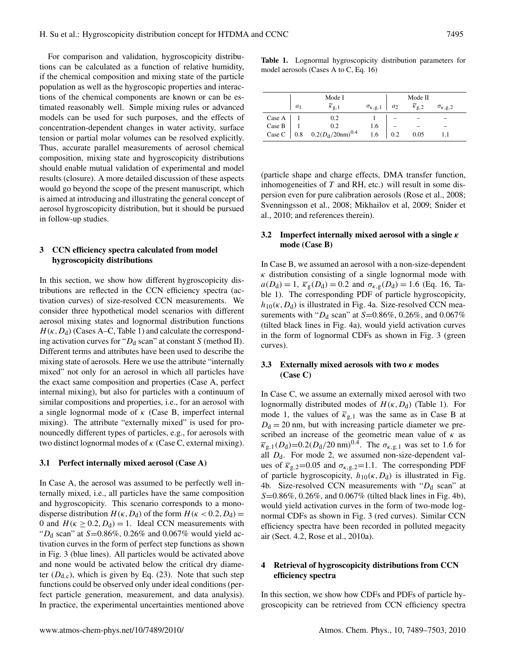For comparison and validation, hygroscopicity distributions can be calculated as a function of relative humidity, if the chemical composition and mixing state of the particle population as well as the hygroscopic properties and interactions of the chemical components are known or can be estimated reasonably well. Simple mixing rules or advanced models can be used for such purposes, and the effects of concentration-dependent changes in water activity, surface tension or partial molar volumes can be resolved explicitly. Thus, accurate parallel measurements of aerosol chemical composition, mixing state and hygroscopicity distributions should enable mutual validation of experimental and model results (closure). A more detailed discussion of these aspects would go beyond the scope of the present manuscript, which is aimed at introducing and illustrating the general concept of aerosol hygroscopicity distribution, but it should be pursued in follow-up studies.

## **3 CCN efficiency spectra calculated from model hygroscopicity distributions**

In this section, we show how different hygroscopicity distributions are reflected in the CCN efficiency spectra (activation curves) of size-resolved CCN measurements. We consider three hypothetical model scenarios with different aerosol mixing states and lognormal distribution functions  $H(\kappa, D_d)$  (Cases A–C, Table 1) and calculate the corresponding activation curves for " $D_d$  scan" at constant S (method II). Different terms and attributes have been used to describe the mixing state of aerosols. Here we use the attribute "internally mixed" not only for an aerosol in which all particles have the exact same composition and properties (Case A, perfect internal mixing), but also for particles with a continuum of similar compositions and properties, i.e., for an aerosol with a single lognormal mode of  $\kappa$  (Case B, imperfect internal mixing). The attribute "externally mixed" is used for pronouncedly different types of particles, e.g., for aerosols with two distinct lognormal modes of  $\kappa$  (Case C, external mixing).

#### **3.1 Perfect internally mixed aerosol (Case A)**

In Case A, the aerosol was assumed to be perfectly well internally mixed, i.e., all particles have the same composition and hygroscopicity. This scenario corresponds to a monodisperse distribution  $H(\kappa, D_d)$  of the form  $H(\kappa < 0.2, D_d)$  = 0 and  $H$ ( $\kappa \ge 0.2$ ,  $D_d$ ) = 1. Ideal CCN measurements with " $D_d$  scan" at S=0.86%, 0.26% and 0.067% would yield activation curves in the form of perfect step functions as shown in Fig. 3 (blue lines). All particles would be activated above and none would be activated below the critical dry diameter  $(D<sub>d,c</sub>)$ , which is given by Eq. (23). Note that such step functions could be observed only under ideal conditions (perfect particle generation, measurement, and data analysis). In practice, the experimental uncertainties mentioned above

**Table 1.** Lognormal hygroscopicity distribution parameters for model aerosols (Cases A to C, Eq. 16)

| Mode I |                                                                                                            |                         | Mode II |                           |                         |  |
|--------|------------------------------------------------------------------------------------------------------------|-------------------------|---------|---------------------------|-------------------------|--|
| $a_1$  | $\overline{\kappa}_{\mathfrak{g},1}$                                                                       | $\sigma_{\kappa, g, 1}$ | $a_2$   | $\overline{\kappa}_{g,2}$ | $\sigma_{\kappa, g, 2}$ |  |
|        |                                                                                                            |                         |         |                           |                         |  |
|        |                                                                                                            | 1.6                     |         |                           |                         |  |
|        | Case A $\begin{array}{c cc}\n1 & 0.2 \\ 1 & 0.2 \\ \text{Case C} & 0.8 & 0.2(D_d/20nm)^{0.4}\n\end{array}$ | 1.6                     | 0.2     | 0.05                      |                         |  |

(particle shape and charge effects, DMA transfer function, inhomogeneities of  $T$  and RH, etc.) will result in some dispersion even for pure calibration aerosols (Rose et al., 2008; Svenningsson et al., 2008; Mikhailov et al, 2009; Snider et al., 2010; and references therein).

## **3.2 Imperfect internally mixed aerosol with a single** κ **mode (Case B)**

In Case B, we assumed an aerosol with a non-size-dependent  $\kappa$  distribution consisting of a single lognormal mode with  $a(D_d) = 1$ ,  $\overline{\kappa}_g(D_d) = 0.2$  and  $\sigma_{\kappa,g}(D_d) = 1.6$  (Eq. 16, Table 1). The corresponding PDF of particle hygroscopicity,  $h_{10}(\kappa, D_d)$  is illustrated in Fig. 4a. Size-resolved CCN measurements with " $D_d$  scan" at S=0.86%, 0.26%, and 0.067% (tilted black lines in Fig. 4a), would yield activation curves in the form of lognormal CDFs as shown in Fig. 3 (green curves).

## **3.3 Externally mixed aerosols with two** κ **modes (Case C)**

In Case C, we assume an externally mixed aerosol with two lognormally distributed modes of  $H(\kappa, D_d)$  (Table 1). For mode 1, the values of  $\overline{\kappa}_{g,1}$  was the same as in Case B at  $D_d = 20$  nm, but with increasing particle diameter we prescribed an increase of the geometric mean value of  $\kappa$  as  $\overline{\kappa}_{g,1}(D_d)=0.2(D_d/20 \text{ nm})^{0.4}$ . The  $\sigma_{\kappa,g,1}$  was set to 1.6 for all  $D_d$ . For mode 2, we assumed non-size-dependent values of  $\overline{\kappa}_{g,2}$ =0.05 and  $\sigma_{\kappa,g,2}$ =1.1. The corresponding PDF of particle hygroscopicity,  $h_{10}(\kappa, D_d)$  is illustrated in Fig. 4b. Size-resolved CCN measurements with " $D_d$  scan" at S=0.86%, 0.26%, and 0.067% (tilted black lines in Fig. 4b), would yield activation curves in the form of two-mode lognormal CDFs as shown in Fig. 3 (red curves). Similar CCN efficiency spectra have been recorded in polluted megacity air (Sect. 4.2, Rose et al., 2010a).

## **4 Retrieval of hygroscopicity distributions from CCN efficiency spectra**

In this section, we show how CDFs and PDFs of particle hygroscopicity can be retrieved from CCN efficiency spectra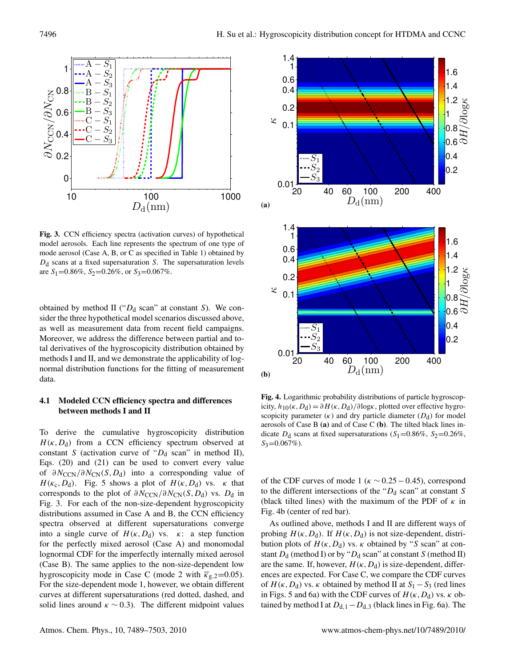

**Fig. 3.** CCN efficiency spectra (activation curves) of hypothetical model aerosols. Each line represents the spectrum of one type of mode aerosol (Case A, B, or C as specified in Table 1) obtained by  $D_d$  scans at a fixed supersaturation S. The supersaturation levels are  $S_1$ =0.86%,  $S_2$ =0.26%, or  $S_3$ =0.067%.

obtained by method II (" $D_d$  scan" at constant S). We consider the three hypothetical model scenarios discussed above, as well as measurement data from recent field campaigns. Moreover, we address the difference between partial and total derivatives of the hygroscopicity distribution obtained by methods I and II, and we demonstrate the applicability of lognormal distribution functions for the fitting of measurement data.

# **4.1 Modeled CCN efficiency spectra and differences between methods I and II**

To derive the cumulative hygroscopicity distribution  $H(\kappa, D_d)$  from a CCN efficiency spectrum observed at constant S (activation curve of " $D_d$  scan" in method II), Eqs. (20) and (21) can be used to convert every value of  $\partial N_{\text{CCN}}/\partial N_{\text{CN}}(S, D_d)$  into a corresponding value of  $H(\kappa_c,D_d)$ . Fig. 5 shows a plot of  $H(\kappa,D_d)$  vs.  $\kappa$  that corresponds to the plot of  $\partial N_{\text{CCN}} / \partial N_{\text{CN}}(S, D_d)$  vs.  $D_d$  in Fig. 3. For each of the non-size-dependent hygroscopicity distributions assumed in Case A and B, the CCN efficiency spectra observed at different supersaturations converge into a single curve of  $H(\kappa, D_d)$  vs.  $\kappa$ : a step function for the perfectly mixed aerosol (Case A) and monomodal lognormal CDF for the imperfectly internally mixed aerosol (Case B). The same applies to the non-size-dependent low hygroscopicity mode in Case C (mode 2 with  $\overline{\kappa}_{g,2}$ =0.05). For the size-dependent mode 1, however, we obtain different curves at different supersaturations (red dotted, dashed, and solid lines around  $\kappa \sim 0.3$ ). The different midpoint values



**Fig. 4.** Logarithmic probability distributions of particle hygroscopicity,  $h_{10}(\kappa, D_d) = \partial H(\kappa, D_d)/\partial \log \kappa$ , plotted over effective hygroscopicity parameter  $(\kappa)$  and dry particle diameter  $(D_d)$  for model aerosols of Case B **(a)** and of Case C **(b)**. The tilted black lines indicate  $D_d$  scans at fixed supersaturations (S<sub>1</sub>=0.86%, S<sub>2</sub>=0.26%,  $S_3 = 0.067\%$ ).

of the CDF curves of mode 1 ( $\kappa \sim 0.25-0.45$ ), correspond to the different intersections of the " $D_d$  scan" at constant S (black tilted lines) with the maximum of the PDF of  $\kappa$  in Fig. 4b (center of red bar).

As outlined above, methods I and II are different ways of probing  $H(\kappa, D_d)$ . If  $H(\kappa, D_d)$  is not size-dependent, distribution plots of  $H(\kappa, D_d)$  vs.  $\kappa$  obtained by "S scan" at constant  $D_d$  (method I) or by " $D_d$  scan" at constant S (method II) are the same. If, however,  $H(\kappa, D_d)$  is size-dependent, differences are expected. For Case C, we compare the CDF curves of  $H(\kappa, D_d)$  vs.  $\kappa$  obtained by method II at  $S_1-S_3$  (red lines in Figs. 5 and 6a) with the CDF curves of  $H(\kappa, D_d)$  vs.  $\kappa$  obtained by method I at  $D_{d,1}-D_{d,3}$  (black lines in Fig. 6a). The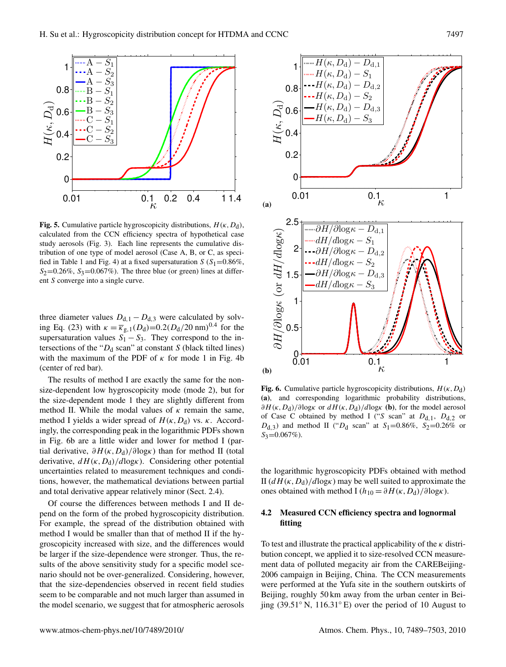

**Fig. 5.** Cumulative particle hygroscopicity distributions,  $H(\kappa, D_d)$ , calculated from the CCN efficiency spectra of hypothetical case study aerosols (Fig. 3). Each line represents the cumulative distribution of one type of model aerosol (Case A, B, or C, as specified in Table 1 and Fig. 4) at a fixed supersaturation  $S(S_1=0.86\%,$  $S_2=0.26\%$ ,  $S_3=0.067\%$ ). The three blue (or green) lines at different S converge into a single curve.

three diameter values  $D_{d,1} - D_{d,3}$  were calculated by solving Eq. (23) with  $\kappa = \overline{\kappa}_{g,1}(D_d)=0.2(D_d/20 \text{ nm})^{0.4}$  for the supersaturation values  $S_1 - S_3$ . They correspond to the intersections of the " $D_d$  scan" at constant S (black tilted lines) with the maximum of the PDF of  $\kappa$  for mode 1 in Fig. 4b (center of red bar).

The results of method I are exactly the same for the nonsize-dependent low hygroscopicity mode (mode 2), but for the size-dependent mode 1 they are slightly different from method II. While the modal values of  $\kappa$  remain the same, method I yields a wider spread of  $H(\kappa, D_d)$  vs.  $\kappa$ . Accordingly, the corresponding peak in the logarithmic PDFs shown in Fig. 6b are a little wider and lower for method I (partial derivative,  $\partial H(\kappa, D_d)/\partial \log \kappa$ ) than for method II (total derivative,  $dH(\kappa, D_d)/d\log\kappa$ . Considering other potential uncertainties related to measurement techniques and conditions, however, the mathematical deviations between partial and total derivative appear relatively minor (Sect. 2.4).

Of course the differences between methods I and II depend on the form of the probed hygroscopicity distribution. For example, the spread of the distribution obtained with method I would be smaller than that of method II if the hygroscopicity increased with size, and the differences would be larger if the size-dependence were stronger. Thus, the results of the above sensitivity study for a specific model scenario should not be over-generalized. Considering, however, that the size-dependencies observed in recent field studies seem to be comparable and not much larger than assumed in the model scenario, we suggest that for atmospheric aerosols



**Fig. 6.** Cumulative particle hygroscopicity distributions,  $H(\kappa, D_d)$ **(a)**, and corresponding logarithmic probability distributions,  $\partial H(\kappa, D_d)/\partial \log \kappa$  or  $dH(\kappa, D_d)/\partial \log \kappa$  (b), for the model aerosol of Case C obtained by method I ("S scan" at  $D_{d,1}$ ,  $D_{d,2}$  or  $D_{d,3}$ ) and method II (" $D_d$  scan" at  $S_1 = 0.86\%$ ,  $S_2 = 0.26\%$  or  $S_3$ =0.067%).

the logarithmic hygroscopicity PDFs obtained with method II  $(dH(\kappa,D_d)/d\log\kappa)$  may be well suited to approximate the ones obtained with method I ( $h_{10} = \partial H(\kappa, D_d)/\partial \log \kappa$ ).

## **4.2 Measured CCN efficiency spectra and lognormal fitting**

To test and illustrate the practical applicability of the  $\kappa$  distribution concept, we applied it to size-resolved CCN measurement data of polluted megacity air from the CAREBeijing-2006 campaign in Beijing, China. The CCN measurements were performed at the Yufa site in the southern outskirts of Beijing, roughly 50 km away from the urban center in Beijing (39.51◦ N, 116.31◦ E) over the period of 10 August to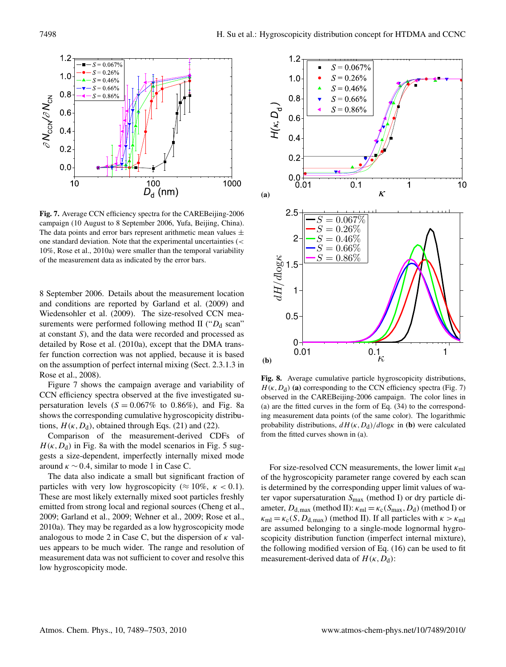

**Fig. 7.** Average CCN efficiency spectra for the CAREBeijing-2006 campaign (10 August to 8 September 2006, Yufa, Beijing, China). The data points and error bars represent arithmetic mean values  $\pm$ one standard deviation. Note that the experimental uncertainties (< 10%, Rose et al., 2010a) were smaller than the temporal variability of the measurement data as indicated by the error bars.

8 September 2006. Details about the measurement location and conditions are reported by Garland et al. (2009) and Wiedensohler et al. (2009). The size-resolved CCN measurements were performed following method II (" $D_d$  scan" at constant S), and the data were recorded and processed as detailed by Rose et al. (2010a), except that the DMA transfer function correction was not applied, because it is based on the assumption of perfect internal mixing (Sect. 2.3.1.3 in Rose et al., 2008).

Figure 7 shows the campaign average and variability of CCN efficiency spectra observed at the five investigated supersaturation levels  $(S = 0.067\%$  to 0.86%), and Fig. 8a shows the corresponding cumulative hygroscopicity distributions,  $H(\kappa, D_d)$ , obtained through Eqs. (21) and (22).

Comparison of the measurement-derived CDFs of  $H(\kappa, D_d)$  in Fig. 8a with the model scenarios in Fig. 5 suggests a size-dependent, imperfectly internally mixed mode around  $\kappa \sim 0.4$ , similar to mode 1 in Case C.

The data also indicate a small but significant fraction of particles with very low hygroscopicity ( $\approx 10\%$ ,  $\kappa < 0.1$ ). These are most likely externally mixed soot particles freshly emitted from strong local and regional sources (Cheng et al., 2009; Garland et al., 2009; Wehner et al., 2009; Rose et al., 2010a). They may be regarded as a low hygroscopicity mode analogous to mode 2 in Case C, but the dispersion of  $\kappa$  values appears to be much wider. The range and resolution of measurement data was not sufficient to cover and resolve this low hygroscopicity mode.



**Fig. 8.** Average cumulative particle hygroscopicity distributions,  $H(\kappa, D_d)$  (a) corresponding to the CCN efficiency spectra (Fig. 7) observed in the CAREBeijing-2006 campaign. The color lines in (a) are the fitted curves in the form of Eq. (34) to the corresponding measurement data points (of the same color). The logarithmic probability distributions,  $dH(\kappa, D_d)/d\log\kappa$  in **(b)** were calculated from the fitted curves shown in (a).

For size-resolved CCN measurements, the lower limit  $\kappa_{ml}$ of the hygroscopicity parameter range covered by each scan is determined by the corresponding upper limit values of water vapor supersaturation  $S_{\text{max}}$  (method I) or dry particle diameter,  $D_{d,\text{max}}$  (method II):  $\kappa_{\text{ml}} = \kappa_c(S_{\text{max}},D_d)$  (method I) or  $\kappa_{\rm ml} = \kappa_{\rm c}(S, D_{\rm d,max})$  (method II). If all particles with  $\kappa > \kappa_{\rm ml}$ are assumed belonging to a single-mode lognormal hygroscopicity distribution function (imperfect internal mixture), the following modified version of Eq. (16) can be used to fit measurement-derived data of  $H(\kappa, D_d)$ :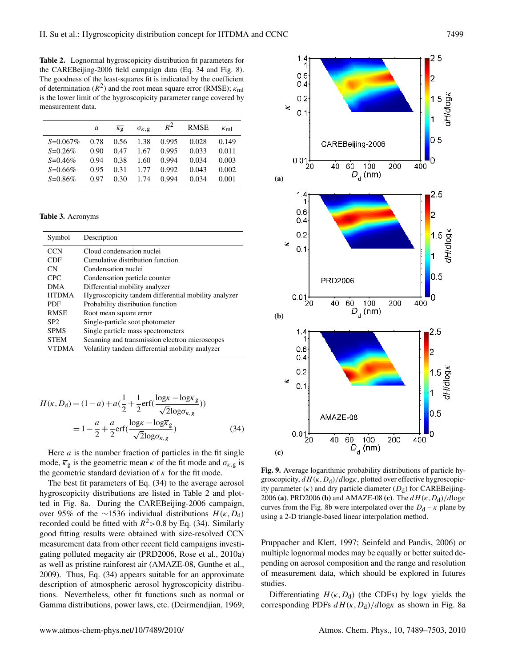**Table 2.** Lognormal hygroscopicity distribution fit parameters for the CAREBeijing-2006 field campaign data (Eq. 34 and Fig. 8). The goodness of the least-squares fit is indicated by the coefficient of determination ( $R^2$ ) and the root mean square error (RMSE);  $\kappa_{\text{ml}}$ is the lower limit of the hygroscopicity parameter range covered by measurement data.

|             | a    | $K_{\mathcal{Q}}$ | $\sigma_{K,g}$ | $R^2$ | <b>RMSE</b> | $\kappa_{\rm ml}$ |
|-------------|------|-------------------|----------------|-------|-------------|-------------------|
| $S=0.067\%$ | 0.78 | 0.56              | 1.38           | 0.995 | 0.028       | 0.149             |
| $S=0.26\%$  | 0.90 | 0.47              | 1.67           | 0.995 | 0.033       | 0.011             |
| $S=0.46\%$  | 0.94 | 0.38              | 1.60           | 0.994 | 0.034       | 0.003             |
| $S=0.66%$   | 0.95 | 0.31              | 1.77           | 0.992 | 0.043       | 0.002             |
| $S=0.86\%$  | 0.97 | 0.30              | 1.74           | 0.994 | 0.034       | 0.001             |
|             |      |                   |                |       |             |                   |

**Table 3.** Acronyms

| Symbol          | Description                                          |
|-----------------|------------------------------------------------------|
| <b>CCN</b>      | Cloud condensation nuclei                            |
| CDF             | Cumulative distribution function                     |
| CN.             | Condensation nuclei                                  |
| CPC.            | Condensation particle counter                        |
| <b>DMA</b>      | Differential mobility analyzer                       |
| <b>HTDMA</b>    | Hygroscopicity tandem differential mobility analyzer |
| PDF             | Probability distribution function                    |
| <b>RMSE</b>     | Root mean square error                               |
| SP <sub>2</sub> | Single-particle soot photometer                      |
| <b>SPMS</b>     | Single particle mass spectrometers                   |
| <b>STEM</b>     | Scanning and transmission electron microscopes       |
| VTDMA           | Volatility tandem differential mobility analyzer     |

$$
H(\kappa, D_{\rm d}) = (1 - a) + a\left(\frac{1}{2} + \frac{1}{2}\text{erf}\left(\frac{\log \kappa - \log \overline{\kappa}_{\rm g}}{\sqrt{2}\log \sigma_{\kappa, g}}\right)\right)
$$

$$
= 1 - \frac{a}{2} + \frac{a}{2}\text{erf}\left(\frac{\log \kappa - \log \overline{\kappa}_{\rm g}}{\sqrt{2}\log \sigma_{\kappa, g}}\right) \tag{34}
$$

Here  $a$  is the number fraction of particles in the fit single mode,  $\overline{\kappa}_{g}$  is the geometric mean  $\kappa$  of the fit mode and  $\sigma_{\kappa, g}$  is the geometric standard deviation of  $\kappa$  for the fit mode.

The best fit parameters of Eq. (34) to the average aerosol hygroscopicity distributions are listed in Table 2 and plotted in Fig. 8a. During the CAREBeijing-2006 campaign, over 95% of the ∼1536 individual distributions  $H(\kappa, D_d)$ recorded could be fitted with  $R^2 > 0.8$  by Eq. (34). Similarly good fitting results were obtained with size-resolved CCN measurement data from other recent field campaigns investigating polluted megacity air (PRD2006, Rose et al., 2010a) as well as pristine rainforest air (AMAZE-08, Gunthe et al., 2009). Thus, Eq. (34) appears suitable for an approximate description of atmospheric aerosol hygroscopicity distributions. Nevertheless, other fit functions such as normal or Gamma distributions, power laws, etc. (Deirmendjian, 1969;



**Fig. 9.** Average logarithmic probability distributions of particle hygroscopicity,  $dH(\kappa, D_d)/d\log\kappa$ , plotted over effective hygroscopicity parameter ( $\kappa$ ) and dry particle diameter ( $D_d$ ) for CAREBeijing-2006 **(a)**, PRD2006 **(b)** and AMAZE-08 **(c)**. The dH (κ,Dd)/dlogκ curves from the Fig. 8b were interpolated over the  $D_d - \kappa$  plane by using a 2-D triangle-based linear interpolation method.

Pruppacher and Klett, 1997; Seinfeld and Pandis, 2006) or multiple lognormal modes may be equally or better suited depending on aerosol composition and the range and resolution of measurement data, which should be explored in futures studies.

Differentiating  $H(\kappa, D_d)$  (the CDFs) by log $\kappa$  yields the corresponding PDFs  $dH(\kappa, D_d)/d\log\kappa$  as shown in Fig. 8a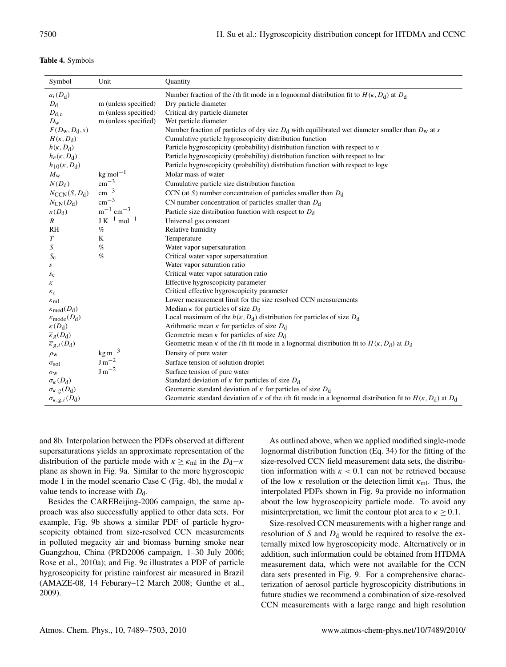| <b>Table 4.</b> Symbols |  |
|-------------------------|--|
|-------------------------|--|

| Symbol                                 | Unit                         | Quantity                                                                                                                          |
|----------------------------------------|------------------------------|-----------------------------------------------------------------------------------------------------------------------------------|
| $a_i(D_d)$                             |                              | Number fraction of the <i>i</i> th fit mode in a lognormal distribution fit to $H(\kappa, D_d)$ at $D_d$                          |
| $D_{\rm d}$                            | m (unless specified)         | Dry particle diameter                                                                                                             |
| $D_{d,c}$                              | m (unless specified)         | Critical dry particle diameter                                                                                                    |
| $D_{\rm w}$                            | m (unless specified)         | Wet particle diameter                                                                                                             |
| $F(D_{\rm W}, D_{\rm d}, s)$           |                              | Number fraction of particles of dry size $D_d$ with equilibrated wet diameter smaller than $D_w$ at s                             |
| $H(\kappa, D_{\rm d})$                 |                              | Cumulative particle hygroscopicity distribution function                                                                          |
| $h(\kappa, D_{\rm d})$                 |                              | Particle hygroscopicity (probability) distribution function with respect to $\kappa$                                              |
| $h_e(\kappa, D_d)$                     |                              | Particle hygroscopicity (probability) distribution function with respect to lnk                                                   |
| $h_{10}$ ( $\kappa$ , D <sub>d</sub> ) |                              | Particle hygroscopicity (probability) distribution function with respect to log <sub>K</sub>                                      |
| $M_{\rm w}$                            | $kg$ mol <sup>-1</sup>       | Molar mass of water                                                                                                               |
| $N(D_d)$                               | $\rm cm^{-3}$                | Cumulative particle size distribution function                                                                                    |
| $N_{\text{CCN}}(S, D_{d})$             | $\rm cm^{-3}$                | CCN (at S) number concentration of particles smaller than $D_d$                                                                   |
| $N_{\text{CN}}(D_{\text{d}})$          | $\rm cm^{-3}$                | CN number concentration of particles smaller than $D_d$                                                                           |
| $n(D_d)$                               | $m^{-1}$ cm <sup>-3</sup>    | Particle size distribution function with respect to $D_d$                                                                         |
| $\boldsymbol{R}$                       | $J K^{-1}$ mol <sup>-1</sup> | Universal gas constant                                                                                                            |
| R <sub>H</sub>                         | $\%$                         | Relative humidity                                                                                                                 |
| $\boldsymbol{T}$                       | K                            | Temperature                                                                                                                       |
| S                                      | $\%$                         | Water vapor supersaturation                                                                                                       |
| $S_{\rm c}$                            | $\%$                         | Critical water vapor supersaturation                                                                                              |
| S                                      |                              | Water vapor saturation ratio                                                                                                      |
| $s_{c}$                                |                              | Critical water vapor saturation ratio                                                                                             |
| κ                                      |                              | Effective hygroscopicity parameter                                                                                                |
| $\kappa_{\rm c}$                       |                              | Critical effective hygroscopicity parameter                                                                                       |
| $\kappa_{\rm ml}$                      |                              | Lower measurement limit for the size resolved CCN measurements                                                                    |
| $\kappa_{\text{med}}(D_{\text{d}})$    |                              | Median $\kappa$ for particles of size $D_d$                                                                                       |
| $\kappa_{\text{mode}}(D_{\text{d}})$   |                              | Local maximum of the $h(\kappa, D_d)$ distribution for particles of size $D_d$                                                    |
| $\overline{\kappa}(D_{d})$             |                              | Arithmetic mean $\kappa$ for particles of size $D_d$                                                                              |
| $\overline{\kappa}_{\rm g}(D_{\rm d})$ |                              | Geometric mean $\kappa$ for particles of size $D_d$                                                                               |
| $\overline{\kappa}_{g,i}(D_d)$         |                              | Geometric mean $\kappa$ of the <i>i</i> th fit mode in a lognormal distribution fit to $H(\kappa, D_d)$ at $D_d$                  |
| $\rho_{\rm W}$                         | $\text{kg m}^{-3}$           | Density of pure water                                                                                                             |
| $\sigma_{\text{sol}}$                  | $\rm J\,m^{-2}$              | Surface tension of solution droplet                                                                                               |
| $\sigma_{\rm w}$                       | $J\,\mathrm{m}^{-2}$         | Surface tension of pure water                                                                                                     |
| $\sigma_K(D_d)$                        |                              | Standard deviation of $\kappa$ for particles of size $D_d$                                                                        |
| $\sigma_{\kappa, g}(D_{d})$            |                              | Geometric standard deviation of $\kappa$ for particles of size $D_d$                                                              |
| $\sigma_{K, g, i}(D_{d})$              |                              | Geometric standard deviation of $\kappa$ of the <i>i</i> th fit mode in a lognormal distribution fit to $H(\kappa, D_d)$ at $D_d$ |

and 8b. Interpolation between the PDFs observed at different supersaturations yields an approximate representation of the distribution of the particle mode with  $\kappa \geq \kappa_{\rm ml}$  in the  $D_{\rm d}-\kappa$ plane as shown in Fig. 9a. Similar to the more hygroscopic mode 1 in the model scenario Case C (Fig. 4b), the modal  $\kappa$ value tends to increase with  $D_d$ .

Besides the CAREBeijing-2006 campaign, the same approach was also successfully applied to other data sets. For example, Fig. 9b shows a similar PDF of particle hygroscopicity obtained from size-resolved CCN measurements in polluted megacity air and biomass burning smoke near Guangzhou, China (PRD2006 campaign, 1–30 July 2006; Rose et al., 2010a); and Fig. 9c illustrates a PDF of particle hygroscopicity for pristine rainforest air measured in Brazil (AMAZE-08, 14 Feburary–12 March 2008; Gunthe et al., 2009).

As outlined above, when we applied modified single-mode lognormal distribution function (Eq. 34) for the fitting of the size-resolved CCN field measurement data sets, the distribution information with  $\kappa$  < 0.1 can not be retrieved because of the low  $\kappa$  resolution or the detection limit  $\kappa_{\rm ml}$ . Thus, the interpolated PDFs shown in Fig. 9a provide no information about the low hygroscopicity particle mode. To avoid any misinterpretation, we limit the contour plot area to  $\kappa \geq 0.1$ .

Size-resolved CCN measurements with a higher range and resolution of S and  $D_d$  would be required to resolve the externally mixed low hygroscopicity mode. Alternatively or in addition, such information could be obtained from HTDMA measurement data, which were not available for the CCN data sets presented in Fig. 9. For a comprehensive characterization of aerosol particle hygroscopicity distributions in future studies we recommend a combination of size-resolved CCN measurements with a large range and high resolution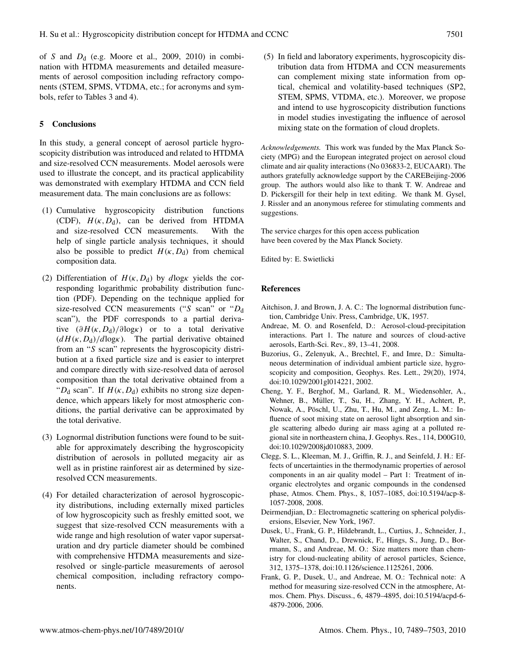of S and  $D_d$  (e.g. Moore et al., 2009, 2010) in combination with HTDMA measurements and detailed measurements of aerosol composition including refractory components (STEM, SPMS, VTDMA, etc.; for acronyms and symbols, refer to Tables 3 and 4).

## **5 Conclusions**

In this study, a general concept of aerosol particle hygroscopicity distribution was introduced and related to HTDMA and size-resolved CCN measurements. Model aerosols were used to illustrate the concept, and its practical applicability was demonstrated with exemplary HTDMA and CCN field measurement data. The main conclusions are as follows:

- (1) Cumulative hygroscopicity distribution functions (CDF),  $H(\kappa, D_d)$ , can be derived from HTDMA and size-resolved CCN measurements. With the help of single particle analysis techniques, it should also be possible to predict  $H(\kappa, D_d)$  from chemical composition data.
- (2) Differentiation of  $H(\kappa, D_d)$  by dlogk yields the corresponding logarithmic probability distribution function (PDF). Depending on the technique applied for size-resolved CCN measurements ("S scan" or " $D_d$ scan"), the PDF corresponds to a partial derivative  $(\partial H(\kappa, D_d)/\partial \log \kappa)$  or to a total derivative  $(dH(\kappa,D_d)/d\log\kappa)$ . The partial derivative obtained from an "S scan" represents the hygroscopicity distribution at a fixed particle size and is easier to interpret and compare directly with size-resolved data of aerosol composition than the total derivative obtained from a " $D_d$  scan". If  $H(\kappa, D_d)$  exhibits no strong size dependence, which appears likely for most atmospheric conditions, the partial derivative can be approximated by the total derivative.
- (3) Lognormal distribution functions were found to be suitable for approximately describing the hygroscopicity distribution of aerosols in polluted megacity air as well as in pristine rainforest air as determined by sizeresolved CCN measurements.
- (4) For detailed characterization of aerosol hygroscopicity distributions, including externally mixed particles of low hygroscopicity such as freshly emitted soot, we suggest that size-resolved CCN measurements with a wide range and high resolution of water vapor supersaturation and dry particle diameter should be combined with comprehensive HTDMA measurements and sizeresolved or single-particle measurements of aerosol chemical composition, including refractory components.

(5) In field and laboratory experiments, hygroscopicity distribution data from HTDMA and CCN measurements can complement mixing state information from optical, chemical and volatility-based techniques (SP2, STEM, SPMS, VTDMA, etc.). Moreover, we propose and intend to use hygroscopicity distribution functions in model studies investigating the influence of aerosol mixing state on the formation of cloud droplets.

*Acknowledgements.* This work was funded by the Max Planck Society (MPG) and the European integrated project on aerosol cloud climate and air quality interactions (No 036833-2, EUCAARI). The authors gratefully acknowledge support by the CAREBeijing-2006 group. The authors would also like to thank T. W. Andreae and D. Pickersgill for their help in text editing. We thank M. Gysel, J. Rissler and an anonymous referee for stimulating comments and suggestions.

The service charges for this open access publication have been covered by the Max Planck Society.

Edited by: E. Swietlicki

### **References**

- Aitchison, J. and Brown, J. A. C.: The lognormal distribution function, Cambridge Univ. Press, Cambridge, UK, 1957.
- Andreae, M. O. and Rosenfeld, D.: Aerosol-cloud-precipitation interactions. Part 1. The nature and sources of cloud-active aerosols, Earth-Sci. Rev., 89, 13–41, 2008.
- Buzorius, G., Zelenyuk, A., Brechtel, F., and Imre, D.: Simultaneous determination of individual ambient particle size, hygroscopicity and composition, Geophys. Res. Lett., 29(20), 1974, doi:10.1029/2001gl014221, 2002.
- Cheng, Y. F., Berghof, M., Garland, R. M., Wiedensohler, A., Wehner, B., Müller, T., Su, H., Zhang, Y. H., Achtert, P., Nowak, A., Pöschl, U., Zhu, T., Hu, M., and Zeng, L. M.: Influence of soot mixing state on aerosol light absorption and single scattering albedo during air mass aging at a polluted regional site in northeastern china, J. Geophys. Res., 114, D00G10, doi:10.1029/2008jd010883, 2009.
- Clegg, S. L., Kleeman, M. J., Griffin, R. J., and Seinfeld, J. H.: Effects of uncertainties in the thermodynamic properties of aerosol components in an air quality model – Part 1: Treatment of inorganic electrolytes and organic compounds in the condensed phase, Atmos. Chem. Phys., 8, 1057–1085, doi:10.5194/acp-8- 1057-2008, 2008.
- Deirmendjian, D.: Electromagnetic scattering on spherical polydisersions, Elsevier, New York, 1967.
- Dusek, U., Frank, G. P., Hildebrandt, L., Curtius, J., Schneider, J., Walter, S., Chand, D., Drewnick, F., Hings, S., Jung, D., Borrmann, S., and Andreae, M. O.: Size matters more than chemistry for cloud-nucleating ability of aerosol particles, Science, 312, 1375–1378, doi:10.1126/science.1125261, 2006.
- Frank, G. P., Dusek, U., and Andreae, M. O.: Technical note: A method for measuring size-resolved CCN in the atmosphere, Atmos. Chem. Phys. Discuss., 6, 4879–4895, doi:10.5194/acpd-6- 4879-2006, 2006.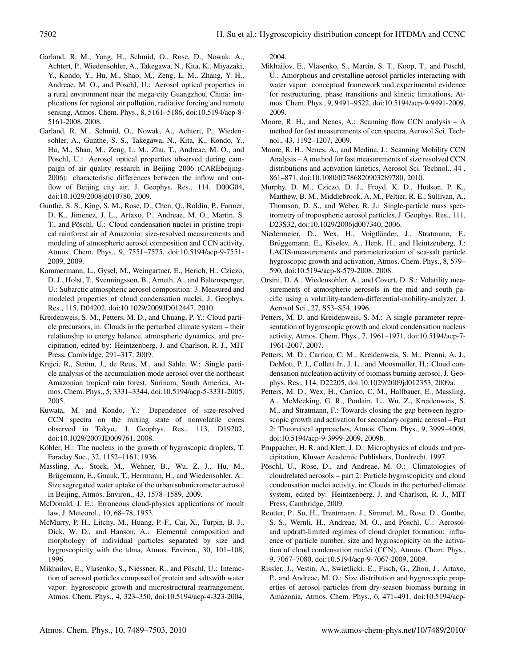- Garland, R. M., Yang, H., Schmid, O., Rose, D., Nowak, A., Achtert, P., Wiedensohler, A., Takegawa, N., Kita, K., Miyazaki, Y., Kondo, Y., Hu, M., Shao, M., Zeng, L. M., Zhang, Y. H., Andreae, M. O., and Pöschl, U.: Aerosol optical properties in a rural environment near the mega-city Guangzhou, China: implications for regional air pollution, radiative forcing and remote sensing, Atmos. Chem. Phys., 8, 5161–5186, doi:10.5194/acp-8- 5161-2008, 2008.
- Garland, R. M., Schmid, O., Nowak, A., Achtert, P., Wiedensohler, A., Gunthe, S. S., Takegawa, N., Kita, K., Kondo, Y., Hu, M., Shao, M., Zeng, L. M., Zhu, T., Andreae, M. O., and Pöschl, U.: Aerosol optical properties observed during campaign of air quality research in Beijing 2006 (CAREbeijing-2006): characteristic differences between the inflow and outflow of Beijing city air, J. Geophys. Res., 114, D00G04, doi:10.1029/2008jd010780, 2009.
- Gunthe, S. S., King, S. M., Rose, D., Chen, Q., Roldin, P., Farmer, D. K., Jimenez, J. L., Artaxo, P., Andreae, M. O., Martin, S. T., and Pöschl, U.: Cloud condensation nuclei in pristine tropical rainforest air of Amazonia: size-resolved measurements and modeling of atmospheric aerosol composition and CCN activity, Atmos. Chem. Phys., 9, 7551–7575, doi:10.5194/acp-9-7551- 2009, 2009.
- Kammermann, L., Gysel, M., Weingartner, E., Herich, H., Cziczo, D. J., Holst, T., Svenningsson, B., Arneth, A., and Baltensperger, U.: Subarctic atmospheric aerosol composition: 3. Measured and modeled properties of cloud condensation nuclei, J. Geophys. Res., 115, D04202, doi:10.1029/2009JD012447, 2010.
- Kreidenweis, S. M., Petters, M. D., and Chuang, P. Y.: Cloud particle precursors, in: Clouds in the perturbed climate system – their relationship to energy balance, atmospheric dynamics, and precipitation, edited by: Heintzenberg, J. and Charlson, R. J., MIT Press, Cambridge, 291–317, 2009.
- Krejci, R., Ström, J., de Reus, M., and Sahle, W.: Single particle analysis of the accumulation mode aerosol over the northeast Amazonian tropical rain forest, Surinam, South America, Atmos. Chem. Phys., 5, 3331–3344, doi:10.5194/acp-5-3331-2005, 2005.
- Kuwata, M. and Kondo, Y.: Dependence of size-resolved CCN spectra on the mixing state of nonvolatile cores observed in Tokyo, J. Geophys. Res., 113, D19202, doi:10.1029/2007JD009761, 2008.
- Köhler, H.: The nucleus in the growth of hygroscopic droplets, T. Faraday Soc., 32, 1152–1161, 1936.
- Massling, A., Stock, M., Wehner, B., Wu, Z. J., Hu, M., Brügemann, E., Gnauk, T., Herrmann, H., and Wiedensohler, A.: Size segregated water uptake of the urban submicrometer aerosol in Beijing, Atmos. Environ., 43, 1578–1589, 2009.
- McDonald, J. E.: Erroneous cloud-physics applications of raoult law, J. Meteorol., 10, 68–78, 1953.
- McMurry, P. H., Litchy, M., Huang, P.-F., Cai, X., Turpin, B. J., Dick, W. D., and Hanson, A.: Elemental composition and morphology of individual particles separated by size and hygroscopicity with the tdma, Atmos. Environ., 30, 101–108, 1996.
- Mikhailov, E., Vlasenko, S., Niessner, R., and Pöschl, U.: Interaction of aerosol particles composed of protein and saltswith water vapor: hygroscopic growth and microstructural rearrangement, Atmos. Chem. Phys., 4, 323–350, doi:10.5194/acp-4-323-2004,

2004.

- Mikhailov, E., Vlasenko, S., Martin, S. T., Koop, T., and Pöschl, U.: Amorphous and crystalline aerosol particles interacting with water vapor: conceptual framework and experimental evidence for restructuring, phase transitions and kinetic limitations, Atmos. Chem. Phys., 9, 9491–9522, doi:10.5194/acp-9-9491-2009, 2009.
- Moore, R. H., and Nenes, A.: Scanning flow CCN analysis A method for fast measurements of ccn spectra, Aerosol Sci. Technol., 43, 1192–1207, 2009.
- Moore, R. H., Nenes, A., and Medina, J.: Scanning Mobility CCN Analysis – A method for fast measurements of size resolved CCN distributions and activation kinetics, Aerosol Sci. Technol., 44 , 861–871, doi:10.1080/02786820903289780, 2010.
- Murphy, D. M., Cziczo, D. J., Froyd, K. D., Hudson, P. K., Matthew, B. M., Middlebrook, A. M., Peltier, R. E., Sullivan, A., Thomson, D. S., and Weber, R. J.: Single-particle mass spectrometry of tropospheric aerosol particles, J. Geophys. Res., 111, D23S32, doi:10.1029/2006jd007340, 2006.
- Niedermeier, D., Wex, H., Voigtländer, J., Stratmann, F., Brüggemann, E., Kiselev, A., Henk, H., and Heintzenberg, J.: LACIS-measurements and parameterization of sea-salt particle hygroscopic growth and activation, Atmos. Chem. Phys., 8, 579– 590, doi:10.5194/acp-8-579-2008, 2008.
- Orsini, D. A., Wiedensohler, A., and Covert, D. S.: Volatility measurements of atmospheric aerosols in the mid and south pacific using a volatility-tandem-differential-mobility-analyzer, J. Aerosol Sci., 27, S53–S54, 1996.
- Petters, M. D. and Kreidenweis, S. M.: A single parameter representation of hygroscopic growth and cloud condensation nucleus activity, Atmos. Chem. Phys., 7, 1961–1971, doi:10.5194/acp-7- 1961-2007, 2007.
- Petters, M. D., Carrico, C. M., Kreidenweis, S. M., Prenni, A. J., DeMott, P. J., Collett Jr., J. L., and Moosmüller, H.: Cloud condensation nucleation activity of biomass burning aerosol, J. Geophys. Res., 114, D22205, doi:10.1029/2009jd012353, 2009a.
- Petters, M. D., Wex, H., Carrico, C. M., Hallbauer, E., Massling, A., McMeeking, G. R., Poulain, L., Wu, Z., Kreidenweis, S. M., and Stratmann, F.: Towards closing the gap between hygroscopic growth and activation for secondary organic aerosol – Part 2: Theoretical approaches, Atmos. Chem. Phys., 9, 3999–4009, doi:10.5194/acp-9-3999-2009, 2009b.
- Pruppacher, H. R. and Klett, J. D.: Microphysics of clouds and precipitation, Kluwer Academic Publishers, Dordrecht, 1997.
- Pöschl, U., Rose, D., and Andreae, M. O.: Climatologies of cloudrelated aerosols – part 2: Particle hygroscopicity and cloud condensation nuclei activity, in: Clouds in the perturbed climate system, edited by: Heintzenberg, J. and Charlson, R. J., MIT Press, Cambridge, 2009.
- Reutter, P., Su, H., Trentmann, J., Simmel, M., Rose, D., Gunthe, S. S., Wernli, H., Andreae, M. O., and Pöschl, U.: Aerosoland updraft-limited regimes of cloud droplet formation: influence of particle number, size and hygroscopicity on the activation of cloud condensation nuclei (CCN), Atmos. Chem. Phys., 9, 7067–7080, doi:10.5194/acp-9-7067-2009, 2009.
- Rissler, J., Vestin, A., Swietlicki, E., Fisch, G., Zhou, J., Artaxo, P., and Andreae, M. O.: Size distribution and hygroscopic properties of aerosol particles from dry-season biomass burning in Amazonia, Atmos. Chem. Phys., 6, 471–491, doi:10.5194/acp-